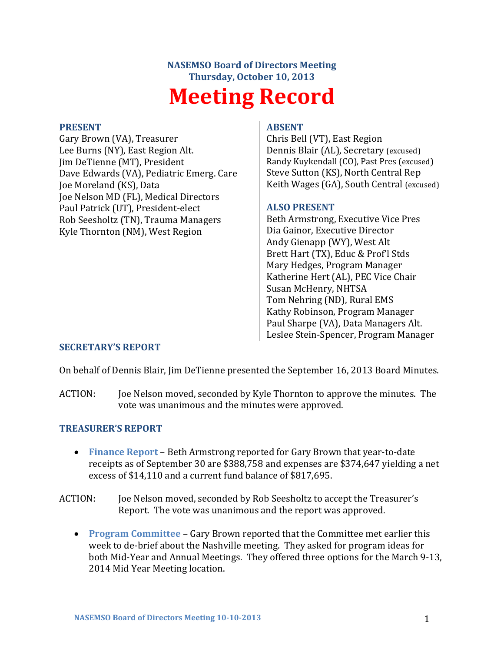# **NASEMSO Board of Directors Meeting Thursday, October 10, 2013 Meeting Record**

#### **PRESENT**

Gary Brown (VA), Treasurer Lee Burns (NY), East Region Alt. Jim DeTienne (MT), President Dave Edwards (VA), Pediatric Emerg. Care Joe Moreland (KS), Data Joe Nelson MD (FL), Medical Directors Paul Patrick (UT), President-elect Rob Seesholtz (TN), Trauma Managers Kyle Thornton (NM), West Region

#### **ABSENT**

Chris Bell (VT), East Region Dennis Blair (AL), Secretary (excused) Randy Kuykendall (CO), Past Pres (excused) Steve Sutton (KS), North Central Rep Keith Wages (GA), South Central (excused)

#### **ALSO PRESENT**

Beth Armstrong, Executive Vice Pres Dia Gainor, Executive Director Andy Gienapp (WY), West Alt Brett Hart (TX), Educ & Prof'l Stds Mary Hedges, Program Manager Katherine Hert (AL), PEC Vice Chair Susan McHenry, NHTSA Tom Nehring (ND), Rural EMS Kathy Robinson, Program Manager Paul Sharpe (VA), Data Managers Alt. Leslee Stein-Spencer, Program Manager

#### **SECRETARY'S REPORT**

On behalf of Dennis Blair, Jim DeTienne presented the September 16, 2013 Board Minutes.

ACTION: Joe Nelson moved, seconded by Kyle Thornton to approve the minutes. The vote was unanimous and the minutes were approved.

#### **TREASURER'S REPORT**

- **Finance Report** Beth Armstrong reported for Gary Brown that year-to-date receipts as of September 30 are \$388,758 and expenses are \$374,647 yielding a net excess of \$14,110 and a current fund balance of \$817,695.
- ACTION: Joe Nelson moved, seconded by Rob Seesholtz to accept the Treasurer's Report. The vote was unanimous and the report was approved.
	- **Program Committee** Gary Brown reported that the Committee met earlier this week to de-brief about the Nashville meeting. They asked for program ideas for both Mid-Year and Annual Meetings. They offered three options for the March 9-13, 2014 Mid Year Meeting location.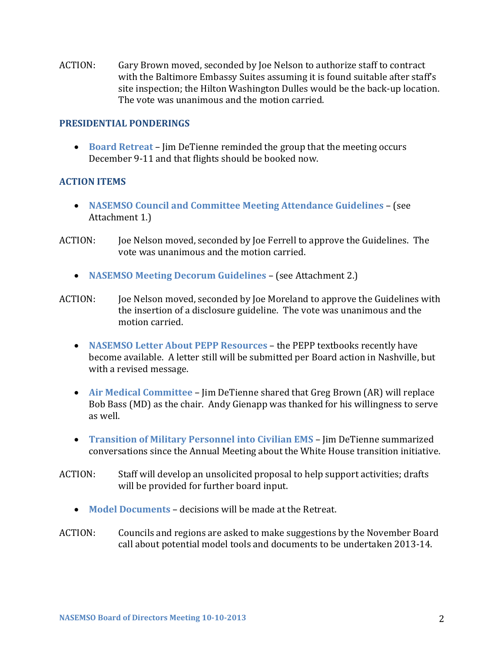ACTION: Gary Brown moved, seconded by Joe Nelson to authorize staff to contract with the Baltimore Embassy Suites assuming it is found suitable after staff's site inspection; the Hilton Washington Dulles would be the back-up location. The vote was unanimous and the motion carried.

#### **PRESIDENTIAL PONDERINGS**

 **Board Retreat** – Jim DeTienne reminded the group that the meeting occurs December 9-11 and that flights should be booked now.

#### **ACTION ITEMS**

- **NASEMSO Council and Committee Meeting Attendance Guidelines** (see Attachment 1.)
- ACTION: Joe Nelson moved, seconded by Joe Ferrell to approve the Guidelines. The vote was unanimous and the motion carried.
	- **NASEMSO Meeting Decorum Guidelines** (see Attachment 2.)
- ACTION: Joe Nelson moved, seconded by Joe Moreland to approve the Guidelines with the insertion of a disclosure guideline. The vote was unanimous and the motion carried.
	- **NASEMSO Letter About PEPP Resources** the PEPP textbooks recently have become available. A letter still will be submitted per Board action in Nashville, but with a revised message.
	- **Air Medical Committee** Jim DeTienne shared that Greg Brown (AR) will replace Bob Bass (MD) as the chair. Andy Gienapp was thanked for his willingness to serve as well.
	- **Transition of Military Personnel into Civilian EMS** Jim DeTienne summarized conversations since the Annual Meeting about the White House transition initiative.
- ACTION: Staff will develop an unsolicited proposal to help support activities; drafts will be provided for further board input.
	- **Model Documents**  decisions will be made at the Retreat.
- ACTION: Councils and regions are asked to make suggestions by the November Board call about potential model tools and documents to be undertaken 2013-14.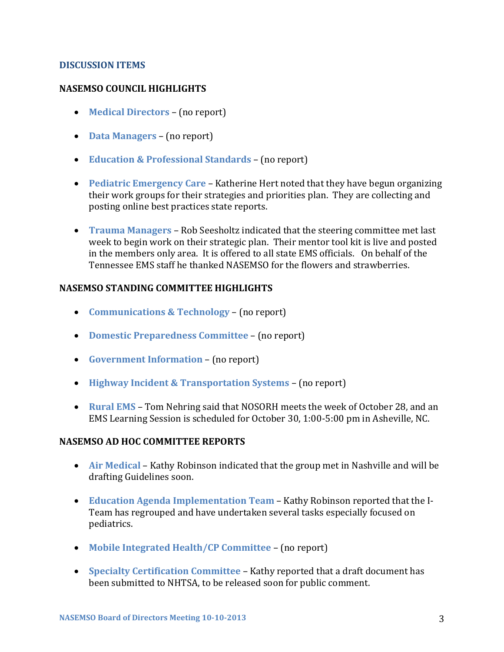#### **DISCUSSION ITEMS**

#### **NASEMSO COUNCIL HIGHLIGHTS**

- **Medical Directors** (no report)
- **Data Managers** (no report)
- **Education & Professional Standards** (no report)
- **Pediatric Emergency Care** Katherine Hert noted that they have begun organizing their work groups for their strategies and priorities plan. They are collecting and posting online best practices state reports.
- **Trauma Managers**  Rob Seesholtz indicated that the steering committee met last week to begin work on their strategic plan. Their mentor tool kit is live and posted in the members only area. It is offered to all state EMS officials. On behalf of the Tennessee EMS staff he thanked NASEMSO for the flowers and strawberries.

#### **NASEMSO STANDING COMMITTEE HIGHLIGHTS**

- **Communications & Technology** (no report)
- **Domestic Preparedness Committee** (no report)
- **Government Information** (no report)
- **Highway Incident & Transportation Systems** (no report)
- **Rural EMS** Tom Nehring said that NOSORH meets the week of October 28, and an EMS Learning Session is scheduled for October 30, 1:00-5:00 pm in Asheville, NC.

#### **NASEMSO AD HOC COMMITTEE REPORTS**

- **Air Medical**  Kathy Robinson indicated that the group met in Nashville and will be drafting Guidelines soon.
- **Education Agenda Implementation Team** Kathy Robinson reported that the I-Team has regrouped and have undertaken several tasks especially focused on pediatrics.
- **Mobile Integrated Health/CP Committee** (no report)
- **Specialty Certification Committee** Kathy reported that a draft document has been submitted to NHTSA, to be released soon for public comment.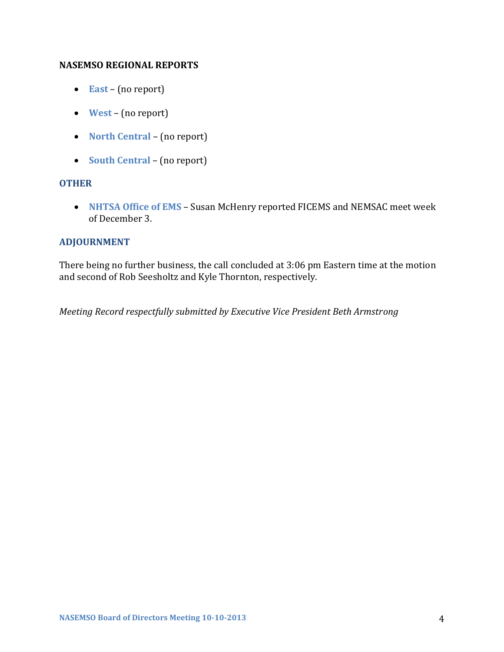#### **NASEMSO REGIONAL REPORTS**

- **East** (no report)
- **West** (no report)
- **North Central** (no report)
- **South Central** (no report)

### **OTHER**

 **NHTSA Office of EMS** – Susan McHenry reported FICEMS and NEMSAC meet week of December 3.

## **ADJOURNMENT**

There being no further business, the call concluded at 3:06 pm Eastern time at the motion and second of Rob Seesholtz and Kyle Thornton, respectively.

*Meeting Record respectfully submitted by Executive Vice President Beth Armstrong*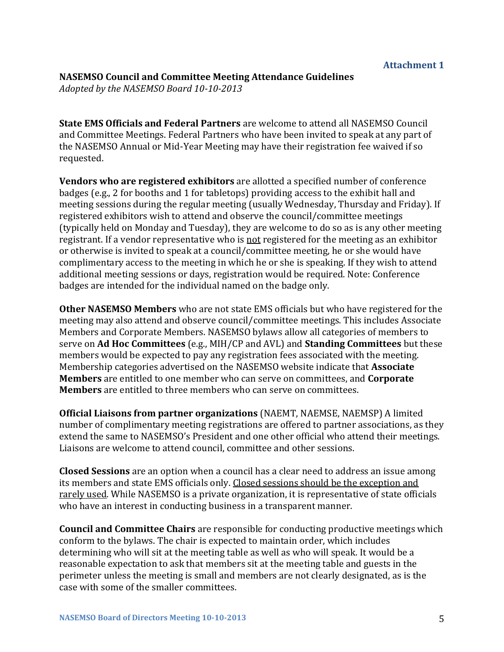# **NASEMSO Council and Committee Meeting Attendance Guidelines**

*Adopted by the NASEMSO Board 10-10-2013*

**State EMS Officials and Federal Partners** are welcome to attend all NASEMSO Council and Committee Meetings. Federal Partners who have been invited to speak at any part of the NASEMSO Annual or Mid-Year Meeting may have their registration fee waived if so requested.

**Vendors who are registered exhibitors** are allotted a specified number of conference badges (e.g., 2 for booths and 1 for tabletops) providing access to the exhibit hall and meeting sessions during the regular meeting (usually Wednesday, Thursday and Friday). If registered exhibitors wish to attend and observe the council/committee meetings (typically held on Monday and Tuesday), they are welcome to do so as is any other meeting registrant. If a vendor representative who is not registered for the meeting as an exhibitor or otherwise is invited to speak at a council/committee meeting, he or she would have complimentary access to the meeting in which he or she is speaking. If they wish to attend additional meeting sessions or days, registration would be required. Note: Conference badges are intended for the individual named on the badge only.

**Other NASEMSO Members** who are not state EMS officials but who have registered for the meeting may also attend and observe council/committee meetings. This includes Associate Members and Corporate Members. NASEMSO bylaws allow all categories of members to serve on **Ad Hoc Committees** (e.g., MIH/CP and AVL) and **Standing Committees** but these members would be expected to pay any registration fees associated with the meeting. Membership categories advertised on the NASEMSO website indicate that **Associate Members** are entitled to one member who can serve on committees, and **Corporate Members** are entitled to three members who can serve on committees.

**Official Liaisons from partner organizations** (NAEMT, NAEMSE, NAEMSP) A limited number of complimentary meeting registrations are offered to partner associations, as they extend the same to NASEMSO's President and one other official who attend their meetings. Liaisons are welcome to attend council, committee and other sessions.

**Closed Sessions** are an option when a council has a clear need to address an issue among its members and state EMS officials only. Closed sessions should be the exception and rarely used. While NASEMSO is a private organization, it is representative of state officials who have an interest in conducting business in a transparent manner.

**Council and Committee Chairs** are responsible for conducting productive meetings which conform to the bylaws. The chair is expected to maintain order, which includes determining who will sit at the meeting table as well as who will speak. It would be a reasonable expectation to ask that members sit at the meeting table and guests in the perimeter unless the meeting is small and members are not clearly designated, as is the case with some of the smaller committees.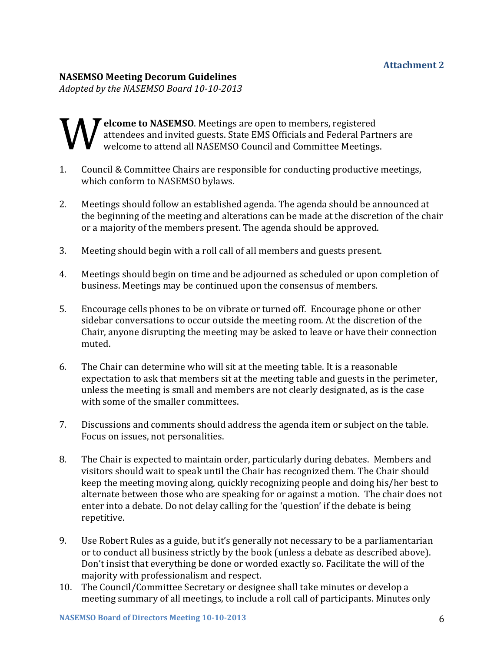## **NASEMSO Meeting Decorum Guidelines**

*Adopted by the NASEMSO Board 10-10-2013*

## **elcome to NASEMSO**. Meetings are open to members, registered attendees and invited guests. State EMS Officials and Federal Part welcome to attend all NASEMSO Council and Committee Meetings attendees and invited guests. State EMS Officials and Federal Partners are welcome to attend all NASEMSO Council and Committee Meetings.

- 1. Council & Committee Chairs are responsible for conducting productive meetings, which conform to NASEMSO bylaws.
- 2. Meetings should follow an established agenda. The agenda should be announced at the beginning of the meeting and alterations can be made at the discretion of the chair or a majority of the members present. The agenda should be approved.
- 3. Meeting should begin with a roll call of all members and guests present.
- 4. Meetings should begin on time and be adjourned as scheduled or upon completion of business. Meetings may be continued upon the consensus of members.
- 5. Encourage cells phones to be on vibrate or turned off. Encourage phone or other sidebar conversations to occur outside the meeting room. At the discretion of the Chair, anyone disrupting the meeting may be asked to leave or have their connection muted.
- 6. The Chair can determine who will sit at the meeting table. It is a reasonable expectation to ask that members sit at the meeting table and guests in the perimeter, unless the meeting is small and members are not clearly designated, as is the case with some of the smaller committees.
- 7. Discussions and comments should address the agenda item or subject on the table. Focus on issues, not personalities.
- 8. The Chair is expected to maintain order, particularly during debates. Members and visitors should wait to speak until the Chair has recognized them. The Chair should keep the meeting moving along, quickly recognizing people and doing his/her best to alternate between those who are speaking for or against a motion. The chair does not enter into a debate. Do not delay calling for the 'question' if the debate is being repetitive.
- 9. Use Robert Rules as a guide, but it's generally not necessary to be a parliamentarian or to conduct all business strictly by the book (unless a debate as described above). Don't insist that everything be done or worded exactly so. Facilitate the will of the majority with professionalism and respect.
- 10. The Council/Committee Secretary or designee shall take minutes or develop a meeting summary of all meetings, to include a roll call of participants. Minutes only